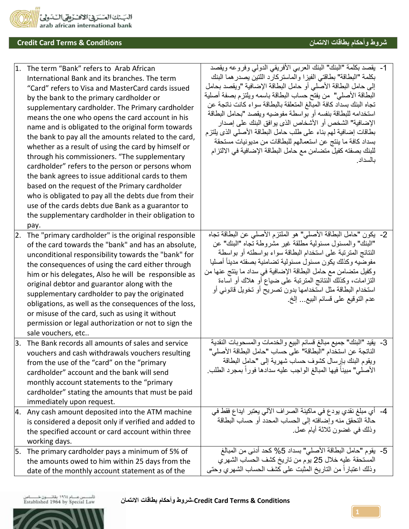

## **شروط وأحكام بطاقات االئتمان Conditions & Terms Card Credit**

|     | 1. The term "Bank" refers to Arab African<br>International Bank and its branches. The term<br>"Card" refers to Visa and MasterCard cards issued<br>by the bank to the primary cardholder or<br>supplementary cardholder. The Primary cardholder<br>means the one who opens the card account in his<br>name and is obligated to the original form towards<br>the bank to pay all the amounts related to the card,<br>whether as a result of using the card by himself or<br>through his commissioners. "The supplementary<br>cardholder" refers to the person or persons whom<br>the bank agrees to issue additional cards to them<br>based on the request of the Primary cardholder<br>who is obligated to pay all the debts due from their<br>use of the cards debts due Bank as a guarantor to<br>the supplementary cardholder in their obligation to<br>pay. | 1-   يقصد بكلمة "البنك" البنك العربي الأفريقي الدولي وفروعه ويقصد<br>بكلمة "البطاقة" بطاقتي الفيزا والماستركارد اللتين يصدرهما البنك<br>إلى حامل البطاقة الأصلي أو حامل البطاقة الإضافية "ويقصد بحامل<br>البطاقة الأصلي"  من يفتح حساب البطاقة باسمه ويلتزم بصفة أصلية<br>تجاه البنك بسداد كافة المبالغ المتعلقة بالبطاقة سواء كانت ناتجة عن<br>استخدامه للبطاقة بنفسه أو بواسطة مفوضيه ويقصد "بحامل البطاقة<br>الإضافية" الشخص أو الأشخاص الذي يوافق البنك على إصدار<br>بطاقات إضافية لهم بناء على طلب حامل البطاقة الأصلى الذي يلتزم<br>بسداد كافة ما ينتج عن استعمالهم للبطاقات من مديونيات مستحقة<br>للبنك بصفته كفيل متضامن مع حامل البطاقة الإضافية في الالتزام<br>بالسداد |
|-----|-----------------------------------------------------------------------------------------------------------------------------------------------------------------------------------------------------------------------------------------------------------------------------------------------------------------------------------------------------------------------------------------------------------------------------------------------------------------------------------------------------------------------------------------------------------------------------------------------------------------------------------------------------------------------------------------------------------------------------------------------------------------------------------------------------------------------------------------------------------------|----------------------------------------------------------------------------------------------------------------------------------------------------------------------------------------------------------------------------------------------------------------------------------------------------------------------------------------------------------------------------------------------------------------------------------------------------------------------------------------------------------------------------------------------------------------------------------------------------------------------------------------------------------------------------------|
| 2.  | The "primary cardholder" is the original responsible<br>of the card towards the "bank" and has an absolute,<br>unconditional responsibility towards the "bank" for<br>the consequences of using the card either through<br>him or his delegates, Also he will be responsible as<br>original debtor and guarantor along with the<br>supplementary cardholder to pay the originated<br>obligations, as well as the consequences of the loss,<br>or misuse of the card, such as using it without<br>permission or legal authorization or not to sign the<br>sale vouchers, etc                                                                                                                                                                                                                                                                                     | 2- يكون "حامل البطاقة الأصلي" هو الملتزم الأصلي عن البطاقة تجاه<br>"البنك" والمسئول مسئولية مطلقة غير مشروطة تجاه "البنك" عن<br>النتائج المترتبة على استخدام البطاقة سواء بواسطته أو بواسطة<br>مفوضيه وكذلك يكون مسئول مسئولية تضامنية بصفته مدينأ أصليا<br>وكغيل منضـامن مع حامل البطـاقة الإضـافيـة فـي سداد مـا ينتج عنـها من<br>النزامات، وكذلك الننائج المنزنبة على ضياع أو هلاك أو آساءة<br>استخدام البطاقة مثل استخدامها بدون تصريح أو تخويل قانوني أو<br>عدم النَّوقيع على قسائم البيع إلخ ِ                                                                                                                                                                             |
| 3.  | The Bank records all amounts of sales and service<br>vouchers and cash withdrawals vouchers resulting<br>from the use of the "card" on the "primary<br>cardholder" account and the bank will send<br>monthly account statements to the "primary<br>cardholder" stating the amounts that must be paid<br>immediately upon request.                                                                                                                                                                                                                                                                                                                                                                                                                                                                                                                               | 3-  يقيد "البنك" جميع مبالغ قسائم البيع والخدمات والمسحوبات النقدية<br>الناتجة عن استخدام "البطاقة" على حساب "حامل البطاقة الأصلي"<br>ويقوم البنك بإرسال كشوف حساب شهرية إلى "حامل البطاقة<br>الأصلي" مبيناً فيها المبالغ الواجب عليه سدادها فور أ بمجر د الطلب.                                                                                                                                                                                                                                                                                                                                                                                                                 |
| 4.  | Any cash amount deposited into the ATM machine<br>is considered a deposit only if verified and added to<br>the specified account or card account within three<br>working days.                                                                                                                                                                                                                                                                                                                                                                                                                                                                                                                                                                                                                                                                                  | 4-   أي مبلغ نقدي يودع في ماكينة الصر اف الآلي يعتبر  ايداع فقط في<br>حالة التحقق منه وإضافته إلى الحساب المحدد أو حساب البطاقة<br>وذلك في غضون ثلاثة أبام عمل.                                                                                                                                                                                                                                                                                                                                                                                                                                                                                                                  |
| ۱5. | The primary cardholder pays a minimum of 5% of<br>the amounts owed to him within 25 days from the<br>date of the monthly account statement as of the                                                                                                                                                                                                                                                                                                                                                                                                                                                                                                                                                                                                                                                                                                            | 5-   يقوم "حامل البطاقة الأصلي" بسداد 5% كحد أدنى من المبالغ<br>المستحقة عليه خلال 25 يوم من تاريخ كشف الحساب الشهري<br>وذلك اعتباراً من التاريخ المثبت على كشف الحساب الشهري وحتى                                                                                                                                                                                                                                                                                                                                                                                                                                                                                               |

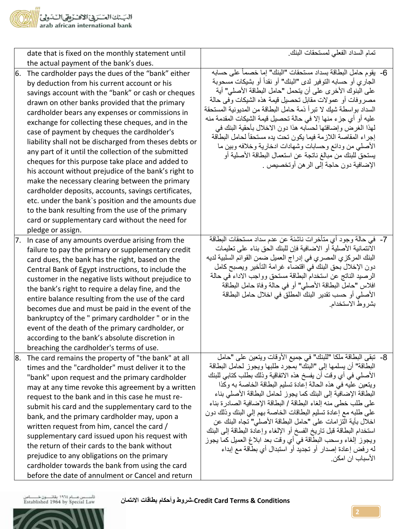

|    | date that is fixed on the monthly statement until<br>the actual payment of the bank's dues.                                                                                                                                                                                                                                                                                                                                                                                                                                                                                                                                                                                                                                                                                                                                                                                                  | تمام السداد الفعلى لمستحقات البنك                                                                                                                                                                                                                                                                                                                                                                                                                                                                                                                                                                                                                                                                                                                            |
|----|----------------------------------------------------------------------------------------------------------------------------------------------------------------------------------------------------------------------------------------------------------------------------------------------------------------------------------------------------------------------------------------------------------------------------------------------------------------------------------------------------------------------------------------------------------------------------------------------------------------------------------------------------------------------------------------------------------------------------------------------------------------------------------------------------------------------------------------------------------------------------------------------|--------------------------------------------------------------------------------------------------------------------------------------------------------------------------------------------------------------------------------------------------------------------------------------------------------------------------------------------------------------------------------------------------------------------------------------------------------------------------------------------------------------------------------------------------------------------------------------------------------------------------------------------------------------------------------------------------------------------------------------------------------------|
| 6. | The cardholder pays the dues of the "bank" either<br>by deduction from his current account or his<br>savings account with the "bank" or cash or cheques<br>drawn on other banks provided that the primary<br>cardholder bears any expenses or commissions in<br>exchange for collecting these cheques, and in the<br>case of payment by cheques the cardholder's<br>liability shall not be discharged from theses debts or<br>any part of it until the collection of the submitted<br>cheques for this purpose take place and added to<br>his account without prejudice of the bank's right to<br>make the necessary clearing between the primary<br>cardholder deposits, accounts, savings certificates,<br>etc. under the bank's position and the amounts due<br>to the bank resulting from the use of the primary<br>card or supplementary card without the need for<br>pledge or assign. | 6- يقوم حامل البطاقة بسداد مستحقات "البنك" إما خصماً على حسابه<br>الجاري أو حسابه التوفير لدى "البنك" أو نقداً أو بشيكات مسحوبة<br>على البنوك الأخر ي على أن يتحمل "حامل البطاقة الأصلي" أية<br>مصروفات أو عمولات مقابل تحصيل قيمة هذه الشيكات وفي حالة<br>السداد بواسطة شيك لا تبرأ ذمة حامل البطاقة من المديونية المستحقة<br>عليه أو أي جزء منها إلا في حالة تحصيل قيمة الشيكات المقدمة منه<br>لمذا الغرض وإضافتها لحسابه هذا دون الاخلال بأحقية البنك في<br>إجراء المقاصة اللازمة فيما يكون تحت يده مستحقاً لحامل البطاقة<br>الأصلي من ودائع وحسابات وشهادات ادخارية وخلافه وبين ما<br>يستحق للبنك من مبالغ ناتجة عن استعمال البطاقة الأصلية أو<br>الإضافية دون حاجة إلى الرهن أوتخصيص                                                                    |
| 7. | In case of any amounts overdue arising from the<br>failure to pay the primary or supplementary credit<br>card dues, the bank has the right, based on the<br>Central Bank of Egypt instructions, to include the<br>customer in the negative lists without prejudice to<br>the bank's right to require a delay fine, and the<br>entire balance resulting from the use of the card<br>becomes due and must be paid in the event of the<br>bankruptcy of the " primary cardholder " or in the<br>event of the death of the primary cardholder, or<br>according to the bank's absolute discretion in<br>breaching the cardholder's terms of use.                                                                                                                                                                                                                                                  | 7-  في حالة وجود أي متأخرات ناشئة عن عدم سداد مستحقات البطاقة<br>الائتمانية الأصلية أو الاضافية فإن للبنك الحق بناء على تعليمات<br>البنك المركزي المصري في إدراج العميل ضمن القوائم السلبية لديه<br>دون الإخلال بحق البنك في اقتضاء غرامة التأخير ويصبح كامل<br>الرصيد الناتج عن استخدام البطاقة مستحق وواجب الاداء في حالة<br>افلاس "حامل البطاقة الأصلي" أو في حالة وفاة حامل البطاقة<br>الأصلي أو حسب تقدير البنك المطلق في اخلال حامل البطاقة<br>بشروط الاستخدام                                                                                                                                                                                                                                                                                         |
| 8. | The card remains the property of "the bank" at all<br>times and the "cardholder" must deliver it to the<br>"bank" upon request and the primary cardholder<br>may at any time revoke this agreement by a written<br>request to the bank and in this case he must re-<br>submit his card and the supplementary card to the<br>bank, and the primary cardholder may, upon a<br>written request from him, cancel the card /<br>supplementary card issued upon his request with<br>the return of their cards to the bank without<br>prejudice to any obligations on the primary<br>cardholder towards the bank from using the card<br>before the date of annulment or Cancel and return                                                                                                                                                                                                           | 8- تبقى البطاقة ملكا "للبنك" في جميع الأوقات ويتعين على "حامل<br>البطاقة" أن يسلمها إلى "البنك" بمجرد طلبها ويجوز لحامل البطاقة<br>الأصلي في أي وقت أن يفسخ هذه الاتفاقية وذلك بطلب كتابي للبنك<br>ويتعين عليه في هذه الحالة إعادة تسليم البطاقة الخاصة به وكذا<br>البطاقة الإضافية إلى البنك كما يجوز لحامل البطاقة الأصلي بناء<br>على طلب خطي منه الغاء البطاقة / البطاقة الإضافية الصادر ة بناء<br>على طلبه مع إعادة تسليم البطاقات الخاصة بهم إلىي البنك وذلك دون<br>اخلال بأية النز امات على "حامل البطاقة الأصلي" نجاه البنك عن<br>استخدام البطاقة قبل ناريخ الفسخ أو الإلغاء وإعادة البطاقة إلىي البنك<br>ويجوز إلغاء وسحب البطاقة في أي وقت بعد ابلاغ العميل كما يجوز<br>له رفض إعادة إصدار أو تجديد أو استبدال أي بطاقة مع إبداء<br>الأسباب ان امكن |

تأسسس عسلم ١٩٦٤ بقائســــون خــــــــــاص<br>Established 1964 by Special Law

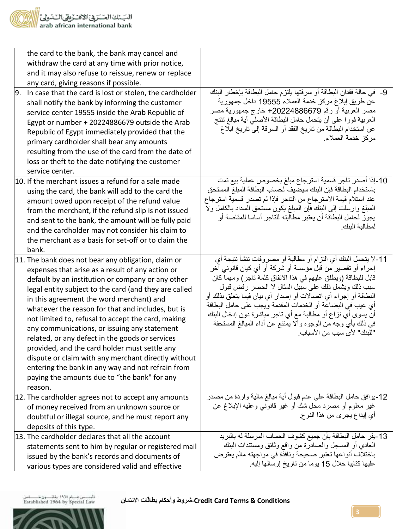| the card to the bank, the bank may cancel and<br>withdraw the card at any time with prior notice,<br>and it may also refuse to reissue, renew or replace<br>any card, giving reasons if possible.<br>9.<br>In case that the card is lost or stolen, the cardholder<br>shall notify the bank by informing the customer<br>service center 19555 inside the Arab Republic of<br>Egypt or number + 20224886679 outside the Arab<br>Republic of Egypt immediately provided that the<br>primary cardholder shall bear any amounts<br>resulting from the use of the card from the date of<br>loss or theft to the date notifying the customer<br>service center.                                               | 9-  في حالة فقدان البطاقة أو سرقتها يلتزم حامل البطاقة بإخطار البنك<br>عن طريق إبلاغ مركز خدمة العملاء 19555 داخل جمهورية<br>مصر العربية أو رقم 20224886679+ خارج جمهورية مصر<br>العربية فورا على أن يتحمل حامل البطاقة الأصلي أية مبالغ تنتج<br>عن استخدام البطاقة من تاريخ الفقد أو السرقة إلى تاريخ ابلاغ<br>مركز خدمة العملاء                                                                                                                                                                                                                  |
|---------------------------------------------------------------------------------------------------------------------------------------------------------------------------------------------------------------------------------------------------------------------------------------------------------------------------------------------------------------------------------------------------------------------------------------------------------------------------------------------------------------------------------------------------------------------------------------------------------------------------------------------------------------------------------------------------------|----------------------------------------------------------------------------------------------------------------------------------------------------------------------------------------------------------------------------------------------------------------------------------------------------------------------------------------------------------------------------------------------------------------------------------------------------------------------------------------------------------------------------------------------------|
| 10. If the merchant issues a refund for a sale made<br>using the card, the bank will add to the card the<br>amount owed upon receipt of the refund value<br>from the merchant, if the refund slip is not issued<br>and sent to the bank, the amount will be fully paid<br>and the cardholder may not consider his claim to<br>the merchant as a basis for set-off or to claim the<br>bank.                                                                                                                                                                                                                                                                                                              | 10-إذا أصدر تاجر قسمية استرجاع مبلغ بخصوص عملية بيع تمت<br>باستخدام البطاقة فإن البنك سيضيف لحساب البطاقة المبلغ المستحق<br>عند استلام قيمة الاسترجاع من التاجر فإذا لم تصدر قسمية استرجاع<br>المعلَّغ وارسلت إلى البنك فإن المعلِّغ يكون مستحق السداد بالكامل ولا<br>يجوز لحامل البطاقة أن يعتبر مطالبته للتاجر أساسا للمقاصنة أو<br>لمطالبة البنك                                                                                                                                                                                                |
| 11. The bank does not bear any obligation, claim or<br>expenses that arise as a result of any action or<br>default by an institution or company or any other<br>legal entity subject to the card (and they are called<br>in this agreement the word merchant) and<br>whatever the reason for that and includes, but is<br>not limited to, refusal to accept the card, making<br>any communications, or issuing any statement<br>related, or any defect in the goods or services<br>provided, and the card holder must settle any<br>dispute or claim with any merchant directly without<br>entering the bank in any way and not refrain from<br>paying the amounts due to "the bank" for any<br>reason. | 11-لا يتحمل البنك أي التزام أو مطالبة أو مصروفات تنشأ نتيجة أي<br>إجراء أو نقصير من قبل مؤسسة أو شركة أو أي كيان قانوني آخر<br>قابل للبطاقة (ويطلق عليهم في هذا الاتفاق كلمة تاجر) ومهما كان<br>سبب ذلك ويشمل ذلك على سبيل المثال لا الحصر رفض قبول<br>البطاقة أو إجراء أي اتصالات أو إصدار أي بيان فيما يتعلق بذلك أو<br>أي عيب في البضاعة أو الخدمات المقدمة ويجب على حامل البطاقة<br>أن يسوى أي نزاع أو مطالبة مع أي ناجر مباشرة دون إدخال البنك<br>في ذلك بأي وجه من الوجوه وألا يمتنع عن أداء المبالغ المستحقة<br>"للبنك" لأي سبب من الأسباب. |
| 12. The cardholder agrees not to accept any amounts<br>of money received from an unknown source or<br>doubtful or illegal source, and he must report any<br>deposits of this type.                                                                                                                                                                                                                                                                                                                                                                                                                                                                                                                      | 12-يوافق حامل البطاقة علىي عدم قبول أية مبالغ مالية واردة من مصدر<br>غير معلوم أو مصرد محل شك أو غير قانوني وعليه الإبلاغ عن<br>أي إيداع يجري من هذا النوع.                                                                                                                                                                                                                                                                                                                                                                                        |
| 13. The cardholder declares that all the account<br>statements sent to him by regular or registered mail<br>issued by the bank's records and documents of<br>various types are considered valid and effective                                                                                                                                                                                                                                                                                                                                                                                                                                                                                           | 13-يقر حامل البطاقة بأن جميع كشوف الحساب المرسلة له بالبريد<br>العادي أو المسجل والصادرة من واقع وثائق ومستندات البنك<br>باختلاف أنواعها تعتبر صحيحة ونافذة في مواجهته مالم يعترض<br>عليها كتابيا خلال 15 يوما من تاريخ إرسالها إليه.                                                                                                                                                                                                                                                                                                              |

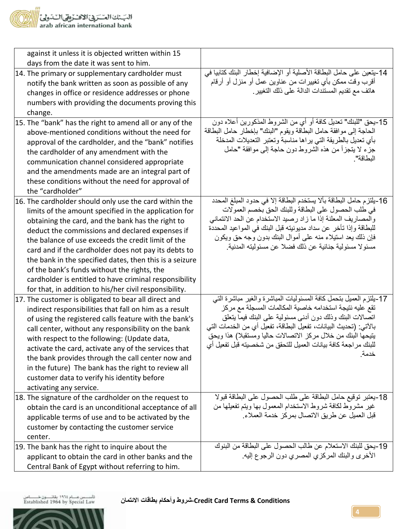

| against it unless it is objected written within 15                                                                                                                                                                                                                                                                                                                                                                                                                                                                                                                  |                                                                                                                                                                                                                                                                                                                                                                                                          |
|---------------------------------------------------------------------------------------------------------------------------------------------------------------------------------------------------------------------------------------------------------------------------------------------------------------------------------------------------------------------------------------------------------------------------------------------------------------------------------------------------------------------------------------------------------------------|----------------------------------------------------------------------------------------------------------------------------------------------------------------------------------------------------------------------------------------------------------------------------------------------------------------------------------------------------------------------------------------------------------|
| days from the date it was sent to him.                                                                                                                                                                                                                                                                                                                                                                                                                                                                                                                              |                                                                                                                                                                                                                                                                                                                                                                                                          |
| 14. The primary or supplementary cardholder must<br>notify the bank written as soon as possible of any<br>changes in office or residence addresses or phone<br>numbers with providing the documents proving this<br>change.                                                                                                                                                                                                                                                                                                                                         | 14-يتعين على حامل البطاقة الأصلية أو الإضافية إخطار البنك كتابيا في<br>أقرب وقت ممكن بأي تغييرات من عناوين عمل أو منزل أو أرقام<br>هاتف مع تقديم المستندات الدالة على ذلك التغيير .                                                                                                                                                                                                                      |
| 15. The "bank" has the right to amend all or any of the<br>above-mentioned conditions without the need for<br>approval of the cardholder, and the "bank" notifies<br>the cardholder of any amendment with the<br>communication channel considered appropriate<br>and the amendments made are an integral part of<br>these conditions without the need for approval of<br>the "cardholder"                                                                                                                                                                           | 15-يحق "للبنك" تعديل كافة أو أي من الشروط المذكورين أعلاه دون<br>الحاجة إلى موافقة حامل البطاقة ويقوم "البنك" بإخطار حامل البطاقة<br>بأي تعديل بالطريقة التي يراها مناسبة وتعتبر التعديلات المدخلة<br>جزء لا يتجزأ من هذه الشروط دون حاجة إلى موافقة "حامل<br>البطاقة".                                                                                                                                  |
| 16. The cardholder should only use the card within the<br>limits of the amount specified in the application for<br>obtaining the card, and the bank has the right to<br>deduct the commissions and declared expenses if<br>the balance of use exceeds the credit limit of the<br>card and if the cardholder does not pay its debts to<br>the bank in the specified dates, then this is a seizure<br>of the bank's funds without the rights, the<br>cardholder is entitled to have criminal responsibility<br>for that, in addition to his/her civil responsibility. | 16-يلتزم حامل البطاقة بألا يستخدم البطاقة إلا في حدود المبلغ المحدد<br>في طلب الحصول على البطاقة وللبنك الحق بخصم العمولات<br>والمصاريف المعلنة إذا ما زاد رصيد الاستخدام عن الحد الائتماني<br>للبطاقة وإذا تأخر عن سداد مديونيته قبل البنك في المواعيد المحددة<br>فإن ذلك يعد استيلاء منه على أموال البنك بدون وجه حق ويكون<br>مسئو لا مسئولية جنائية عن ذلك فضلا عن مسئوليته المدنية.                  |
| 17. The customer is obligated to bear all direct and<br>indirect responsibilities that fall on him as a result<br>of using the registered calls feature with the bank's<br>call center, without any responsibility on the bank<br>with respect to the following: (Update data,<br>activate the card, activate any of the services that<br>the bank provides through the call center now and<br>in the future) The bank has the right to review all<br>customer data to verify his identity before<br>activating any service.                                        | 17-يلتزم العميل بتحمل كافة المسئوليات المباشرة والغير مباشرة التبي<br>تقع عليه نتيجة استخدامه خاصية المكالمات المسجلة مع مركز<br>اتصالات البنك وذلك دون أدنبي مسئولية على البنك فيما بتعلق<br>بالآتي: (تحديث البيانات، تفعيل البطاقة، تفعيل أي من الخدمات التي<br>بتيحها البنك من خلال مركز الاتصالات حاليا ومستقبلا) هذا ويحق<br>للبنك مراجعة كافة بيانات العميل للتحقق من شخصيته قبل تفعيل أي<br>خدمة. |
| 18. The signature of the cardholder on the request to<br>obtain the card is an unconditional acceptance of all<br>applicable terms of use and to be activated by the<br>customer by contacting the customer service<br>center.                                                                                                                                                                                                                                                                                                                                      | 18-يعتبر توقيع حامل البطاقة على طلب الحصول على البطاقة قبولا<br>غير مشروط لكافة شروط الاستخدام المعمول بها ويتم تفعيلها من<br>قبل العميل عن طريق الاتصال بمركز خدمة العملاء.                                                                                                                                                                                                                             |
| 19. The bank has the right to inquire about the<br>applicant to obtain the card in other banks and the<br>Central Bank of Egypt without referring to him.                                                                                                                                                                                                                                                                                                                                                                                                           | 19-يحق للبنك الاستعلام عن طالب الحصول على البطاقة من البنوك<br>الأخرى والبنك المركزي المصري دون الرجوع إليه                                                                                                                                                                                                                                                                                              |

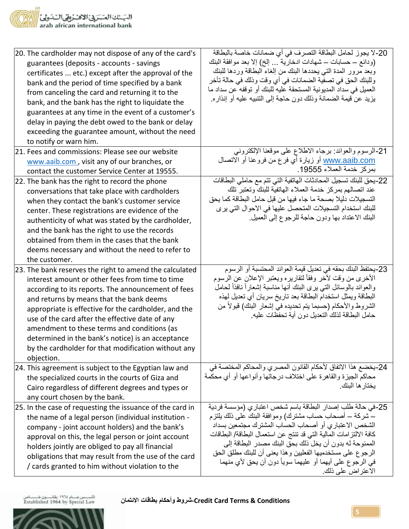البّـنك العـّـرَبيّ الاقــرْبِيّ الــّـدوليّ <mark>ا</mark><br>arab african international bank

| 20. The cardholder may not dispose of any of the card's<br>guarantees (deposits - accounts - savings<br>certificates  etc.) except after the approval of the<br>bank and the period of time specified by a bank<br>from canceling the card and returning it to the<br>bank, and the bank has the right to liquidate the<br>guarantees at any time in the event of a customer's<br>delay in paying the debt owed to the bank or delay<br>exceeding the guarantee amount, without the need<br>to notify or warn him. | 20-لا يجوز لحامل البطاقة التصرف في أي ضمانات خاصة بالبطاقة<br>(ودائع ــ حسابات ـــ شهادات ادخارية  إلخ) إلا بعد موافقة البنك<br>وبعد مرور المدة التي يحددها البنك من إلغاء البطاقة وردها للبنك<br>وللبنك الحق في تصفية الضمانات في أي وقت وذلك في حالة تأخر<br>العميل في سداد المديونية المستحقة عليه للبنك أو توقفه عن سداد ما<br>يزيد عن قيمة الضمانة وذلك دون حاجة إلىي التنبيه عليه أو إنذاره.                                                               |
|--------------------------------------------------------------------------------------------------------------------------------------------------------------------------------------------------------------------------------------------------------------------------------------------------------------------------------------------------------------------------------------------------------------------------------------------------------------------------------------------------------------------|------------------------------------------------------------------------------------------------------------------------------------------------------------------------------------------------------------------------------------------------------------------------------------------------------------------------------------------------------------------------------------------------------------------------------------------------------------------|
| 21. Fees and commissions: Please see our website                                                                                                                                                                                                                                                                                                                                                                                                                                                                   | 21-الرسوم والعوائد: برجاء الاطلاع على موقعنا الإلكتروني                                                                                                                                                                                                                                                                                                                                                                                                          |
| www.aaib.com, visit any of our branches, or<br>contact the customer Service Center at 19555.                                                                                                                                                                                                                                                                                                                                                                                                                       | <u>www.aaib.com</u> أو زيارة أي فرع من فروعنا أو الاتصال<br>بمركز خدمة العملاء 19555.                                                                                                                                                                                                                                                                                                                                                                            |
| 22. The bank has the right to record the phone<br>conversations that take place with cardholders<br>when they contact the bank's customer service<br>center. These registrations are evidence of the<br>authenticity of what was stated by the cardholder,<br>and the bank has the right to use the records<br>obtained from them in the cases that the bank<br>deems necessary and without the need to refer to<br>the customer.                                                                                  | 22-يحق للبنك تسجيل المحادثات الهاتفية التي تتم مع حاملي البطاقات<br>عند اتصالهم بمركز خدمة العملاء الهاتفية للبنك وتعتبر تلك<br>التسجيلات دليلا بصحة ما جاء فيها من قبل حامل البطاقة كما يحق<br>للبنك استخدام التسجيلات المتحصل عليها في الاحوال التي يرى<br>البنك الاعتداد بها ودون حاجة للرجوع إلىي العميل                                                                                                                                                     |
| 23. The bank reserves the right to amend the calculated<br>interest amount or other fees from time to time<br>according to its reports. The announcement of fees<br>and returns by means that the bank deems<br>appropriate is effective for the cardholder, and the<br>use of the card after the effective date of any<br>amendment to these terms and conditions (as<br>determined in the bank's notice) is an acceptance<br>by the cardholder for that modification without any<br>objection.                   | 23-يحتفظ البنك بحقه في تعديل قيمة العوائد المحتسبة أو الرسوم<br>الأخرى من وقت لأخر وفقأ لتقاريره ويعتبر الإعلان عن الرسوم<br>والعوائد بالوسائل التبي يرى البنك أنها مناسبة إشعاراً نافذاً لحامل<br>البطاقة ويمثل استخدام البطاقة بعد تاريخ سريان أي تعديل لهذه<br>الشروط والأحكام (حسبما يتم تحديده في إشعار البنك) قبولاً من<br>حامل البطاقة لذلك التحديل دون أية تحفظات عليه                                                                                   |
| 24. This agreement is subject to the Egyptian law and<br>the specialized courts in the courts of Giza and<br>Cairo regardless of different degrees and types or<br>any court chosen by the bank.                                                                                                                                                                                                                                                                                                                   | 24-يخضع هذا الاتفاق لأحكام القانون المصري والمحاكم المختصة في<br>محاكم الجيزة والقاهرة على اختلاف درجاتها وأنواعها أو أي محكمة<br>يختار ها البنك                                                                                                                                                                                                                                                                                                                 |
| 25. In the case of requesting the issuance of the card in<br>the name of a legal person (individual institution -<br>company - joint account holders) and the bank's<br>approval on this, the legal person or joint account<br>holders jointly are obliged to pay all financial<br>obligations that may result from the use of the card<br>/ cards granted to him without violation to the                                                                                                                         | 25-في حالة طلب إصدار البطاقة باسم شخص اعتباري (مؤسسة فردية<br>ـــ شركة ـــ أصحاب حساب مشترك) وموافقة البنك على ذلك يلتزم<br>الشخص الاعتباري أو أصحاب الحساب المشترك مجتمعين بسداد<br>كافة الالتز امات المالية التي قد تنتج عن استعمال البطاقة/ البطاقات<br>الممنوحة له بدون أن يخل ذلك بحق البنك مصدر البطاقة إلى<br>الرجوع على مستخدميها الفعليين وهذا يعنى أن للبنك مطلق الحق<br>في الرجوع على أيهما أو عليهما سوياً دون أن يحق لأي منهما<br>الاعتراض على ذلك. |



**Conditions & Terms Card Credit-شروط وأحكام بطاقات االئتمان**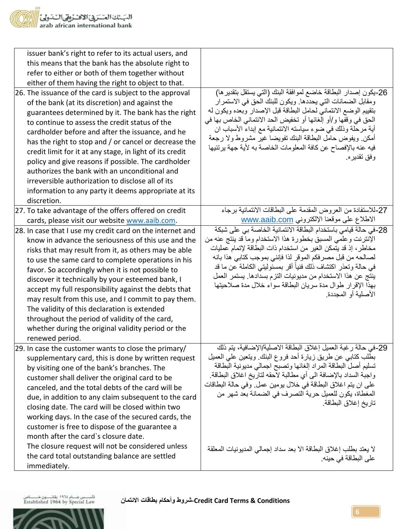| issuer bank's right to refer to its actual users, and<br>this means that the bank has the absolute right to<br>refer to either or both of them together without<br>either of them having the right to object to that.<br>26. The issuance of the card is subject to the approval<br>of the bank (at its discretion) and against the<br>guarantees determined by it. The bank has the right<br>to continue to assess the credit status of the<br>cardholder before and after the issuance, and he<br>has the right to stop and / or cancel or decrease the<br>credit limit for it at any stage, in light of its credit<br>policy and give reasons if possible. The cardholder<br>authorizes the bank with an unconditional and<br>irreversible authorization to disclose all of its<br>information to any party it deems appropriate at its | 26-يكون إصدار البطاقة خاضع لموافقة البنك (التي يستقل بتقدير ها)<br>ومقابل الضمانات التي يحددها. ويكون للبنك الحق في الاستمرار<br>بتقييم الوضع الائتماني لحامل البطاقة قبل الإصدار وبعده ويكون له<br>الحق في وقفها و/أو إلغائها أو تخفيض الحد الائتماني الخاص بها في<br>أية مرحلة وذلك في ضوء سياسته الائتمانية مع إبداء الأسباب ان<br>أمكن ويفوض حامل البطاقة البنك نفويضا غير مشروط ولا رجعة<br>فيه عنه بالإفصاح عن كافة المعلومات الخاصة به لأية جهة يرتئيها<br>وفق تقدير ه.                                 |
|--------------------------------------------------------------------------------------------------------------------------------------------------------------------------------------------------------------------------------------------------------------------------------------------------------------------------------------------------------------------------------------------------------------------------------------------------------------------------------------------------------------------------------------------------------------------------------------------------------------------------------------------------------------------------------------------------------------------------------------------------------------------------------------------------------------------------------------------|----------------------------------------------------------------------------------------------------------------------------------------------------------------------------------------------------------------------------------------------------------------------------------------------------------------------------------------------------------------------------------------------------------------------------------------------------------------------------------------------------------------|
| discretion.<br>27. To take advantage of the offers offered on credit                                                                                                                                                                                                                                                                                                                                                                                                                                                                                                                                                                                                                                                                                                                                                                       | 27-للاستفادة من العروض المقدمة على البطاقات الائتمانية برجاء                                                                                                                                                                                                                                                                                                                                                                                                                                                   |
| cards, please visit our website www.aaib.com.                                                                                                                                                                                                                                                                                                                                                                                                                                                                                                                                                                                                                                                                                                                                                                                              | الاطلاع على موقعنا الإلكتروني www.aaib.com                                                                                                                                                                                                                                                                                                                                                                                                                                                                     |
| 28. In case that I use my credit card on the internet and<br>know in advance the seriousness of this use and the<br>risks that may result from it, as others may be able<br>to use the same card to complete operations in his<br>favor. So accordingly when it is not possible to<br>discover it technically by your esteemed bank, I<br>accept my full responsibility against the debts that<br>may result from this use, and I commit to pay them.<br>The validity of this declaration is extended<br>throughout the period of validity of the card,<br>whether during the original validity period or the<br>renewed period.                                                                                                                                                                                                           | 28-في حالة قيامي باستخدام البطاقة الائتمانية الخاصىة بي على شبكة<br>الإنترنت وعلمي المسبق بخطورة هذا الاستخدام وما قد ينتج عنه من<br>مخاطر ، إذ قد يتمكن الغير من استخدام ذات البطاقة لإتمام عمليات<br>لصـالحه من قبل مصـر فكم الموقر لذا فإننـي بموجب كتابـي هذا بـانـه<br>في حالة وتعذر اكتشاف ذلك فنياً أقر بمسئوليتي الكاملة عن ما قد<br>ينتج عن هذا الاستخدام من مديونيات التزم بسدادها. يستمر العمل<br>بهذا الإقرار طوال مدة سريان البطاقة سواء خلال مدة صلاحيتها<br>الأصلية أو المجددة                  |
| 29. In case the customer wants to close the primary/<br>supplementary card, this is done by written request<br>by visiting one of the bank's branches. The<br>customer shall deliver the original card to be<br>canceled, and the total debts of the card will be<br>due, in addition to any claim subsequent to the card<br>closing date. The card will be closed within two<br>working days. In the case of the secured cards, the<br>customer is free to dispose of the guarantee a<br>month after the card's closure date.<br>The closure request will not be considered unless<br>the card total outstanding balance are settled<br>immediately.                                                                                                                                                                                      | 29-في حالة رغبة العميل إغلاق البطاقة الاصلية/الإضافية، يتم ذلك<br>بطلب كتابي عن طريق زيارة أحد فروع البنك ويتعين على العميل<br>تسليم أصل البطاقة المراد إلغائها وتصبح اجمالي مديونية البطاقة<br>واجبة السداد بالإضافة الى أي مطالبة لاحقه لتاريخ اغلاق البطاقة.<br>على ان يتم اغلاق البطاقة في خلال يومين عمل وفي حالة البطاقات<br>المغطاة، يكون للعميل حرية التصريف في الضمانة بعد شهر من<br>تاريخ إغلاق البطاقة<br>لا يعتد بطلب إغلاق البطاقة الا بعد سداد إجمالي المديونيات المعلقة<br>على البطاقة في حينه. |

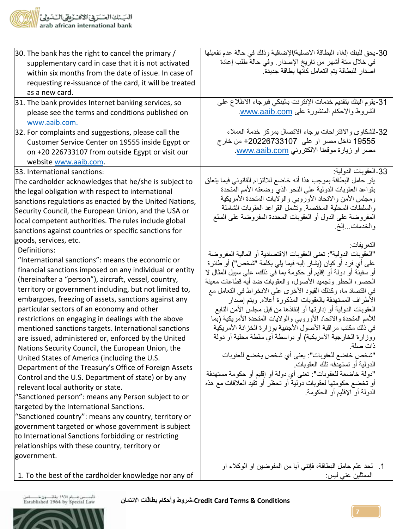| 30. The bank has the right to cancel the primary /<br>supplementary card in case that it is not activated<br>within six months from the date of issue. In case of<br>requesting re-issuance of the card, it will be treated<br>as a new card.                                                                                                                                                                                                                                                                                                                                                                                                                                                                                                                                                                                                                                                                                                                                                                                                                                                                                                                                                                                                                                                                                                                                                                                                                                                                                                | 30-يحق للبنك إلغاء البطاقة الاصلية/الإضافية وذلك في حالة عدم تفعيلها<br>في خلال سنة أشهر من تاريخ الإصدار . وفي حالة طلب إعادة<br>اصدار للبطاقة يتم التعامل كأنها بطاقة جديدة                                                                                                                                                                                                                                                                                                                                                                                                                                                                                                                                                                                                                                                                                                                                                                                                                                                                                                                                                                                                                                                                                                                                     |
|----------------------------------------------------------------------------------------------------------------------------------------------------------------------------------------------------------------------------------------------------------------------------------------------------------------------------------------------------------------------------------------------------------------------------------------------------------------------------------------------------------------------------------------------------------------------------------------------------------------------------------------------------------------------------------------------------------------------------------------------------------------------------------------------------------------------------------------------------------------------------------------------------------------------------------------------------------------------------------------------------------------------------------------------------------------------------------------------------------------------------------------------------------------------------------------------------------------------------------------------------------------------------------------------------------------------------------------------------------------------------------------------------------------------------------------------------------------------------------------------------------------------------------------------|-------------------------------------------------------------------------------------------------------------------------------------------------------------------------------------------------------------------------------------------------------------------------------------------------------------------------------------------------------------------------------------------------------------------------------------------------------------------------------------------------------------------------------------------------------------------------------------------------------------------------------------------------------------------------------------------------------------------------------------------------------------------------------------------------------------------------------------------------------------------------------------------------------------------------------------------------------------------------------------------------------------------------------------------------------------------------------------------------------------------------------------------------------------------------------------------------------------------------------------------------------------------------------------------------------------------|
| 31. The bank provides Internet banking services, so<br>please see the terms and conditions published on<br>www.aaib.com.                                                                                                                                                                                                                                                                                                                                                                                                                                                                                                                                                                                                                                                                                                                                                                                                                                                                                                                                                                                                                                                                                                                                                                                                                                                                                                                                                                                                                     | 31-يقوم البنك بتقديم خدمات الإنترنت بالبنكي فبرجاء الاطلاع على<br>الشروط والاحكام المنشورة على www.aaib.com.                                                                                                                                                                                                                                                                                                                                                                                                                                                                                                                                                                                                                                                                                                                                                                                                                                                                                                                                                                                                                                                                                                                                                                                                      |
| 32. For complaints and suggestions, please call the<br>Customer Service Center on 19555 inside Egypt or<br>on +20 226733107 from outside Egypt or visit our<br>website www.aaib.com.                                                                                                                                                                                                                                                                                                                                                                                                                                                                                                                                                                                                                                                                                                                                                                                                                                                                                                                                                                                                                                                                                                                                                                                                                                                                                                                                                         | 32-للشكاوي والاقتراحات برجاء الاتصال بمركز خدمة العملاء<br>19555 داخل مصر او علي  20226733107+ من خارج<br>مصر او زيارة موقعنا الالكتروني www.aaib.com                                                                                                                                                                                                                                                                                                                                                                                                                                                                                                                                                                                                                                                                                                                                                                                                                                                                                                                                                                                                                                                                                                                                                             |
| 33. International sanctions:<br>The cardholder acknowledges that he/she is subject to<br>the legal obligation with respect to international<br>sanctions regulations as enacted by the United Nations,<br>Security Council, the European Union, and the USA or<br>local competent authorities. The rules include global<br>sanctions against countries or specific sanctions for<br>goods, services, etc.<br>Definitions:<br>"International sanctions": means the economic or<br>financial sanctions imposed on any individual or entity<br>(hereinafter a "person"), aircraft, vessel, country,<br>territory or government including, but not limited to,<br>embargoes, freezing of assets, sanctions against any<br>particular sectors of an economy and other<br>restrictions on engaging in dealings with the above<br>mentioned sanctions targets. International sanctions<br>are issued, administered or, enforced by the United<br>Nations Security Council, the European Union, the<br>United States of America (including the U.S.<br>Department of the Treasury's Office of Foreign Assets<br>Control and the U.S. Department of state) or by any<br>relevant local authority or state.<br>"Sanctioned person": means any Person subject to or<br>targeted by the International Sanctions.<br>"Sanctioned country": means any country, territory or<br>government targeted or whose government is subject<br>to International Sanctions forbidding or restricting<br>relationships with these country, territory or<br>government. | 33-العقوبات الدولية:<br>يقر حامل البطاقة بموجب هذا أنه خاضع للالتزام القانوني فيما يتعلق<br>بقواعد العقوبات الدولية على النحو الذي وضعته الأمم المتحدة<br>ومجلس الأمن والاتحاد الأوروبي والولايات المتحدة الأمريكية<br>والسلطات المحلية المختصة وتشمل القواعد العقوبات الشاملة<br>المفروضة على الدول أو العقوبات المحددة المفروضة على السلع<br>والخدمات وإلخ<br>التعر يفات<br>"العقوبات الدولية": تعني العقوبات الاقتصادية أو المالية المفروضة<br>على أي فرد أو كيان (يشار إليه فيما يلي بكلمة "شخص") أو طائرة<br>أو سفينة أو دولة أو إقليم أو حكومة بما فـي ذلك، علـي سبيل المثال لا<br>الحصر، الحظر وتجميد الأصول، والعقوبات ضد أيه قطاعات معينة<br>في اقتصاد ما، وكذلك القيود الأخرى على الانخراط في التعامل مع<br>الأطراف المستهدفة بالعقوبات المذكورة أعلاه ويتم إصدار<br>العقوبات الدولية أو إدارتها أو إنفاذها من قبل مجلس الأمن التابع<br>للأمم المتحدة والاتحاد الأوروبي والولايات المتحدة الأمريكية (بما<br>في ذلك مكتب مراقبة الأصول الأجنبية بوزارة الخزانة الأمريكية<br>ووزارة الخارجية الأمريكية) أو بواسطة أي سلطة محلية أو دولة<br>دات صلة<br>"شخص خاضع للعقوبات": يعني أي شخص يخضع للعقوبات<br>الدولية أو تستهدفه تلك العقوبات<br>"دولة خاضعة للعقوبات": تعني أي دولة أو إقليم أو حكومة مستهدفة<br>أو تخضع حكومتها لعقوبات دولية أو تحظر أو تقيد العلاقات مع هذه<br>الدولة أو الإقليم أو الحكومة |
| 1. To the best of the cardholder knowledge nor any of                                                                                                                                                                                                                                                                                                                                                                                                                                                                                                                                                                                                                                                                                                                                                                                                                                                                                                                                                                                                                                                                                                                                                                                                                                                                                                                                                                                                                                                                                        | 1. لحد علم حامل البطاقة، فإنني أيا من المفوضين او الوكلاء او<br>الممثلين عني ليس:                                                                                                                                                                                                                                                                                                                                                                                                                                                                                                                                                                                                                                                                                                                                                                                                                                                                                                                                                                                                                                                                                                                                                                                                                                 |

تأسسس عسلم ١٩٦٤ بقائســــون خــــــــــاص<br>Established 1964 by Special Law



**Conditions & Terms Card Credit-شروط وأحكام بطاقات االئتمان**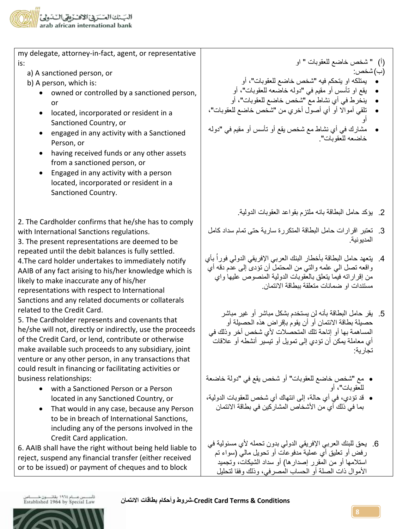

| my delegate, attorney-in-fact, agent, or representative |  |  |
|---------------------------------------------------------|--|--|
| l is:                                                   |  |  |
|                                                         |  |  |

- a) A sanctioned person, or
- b) A person, which is:
	- owned or controlled by a sanctioned person, or
	- located, incorporated or resident in a Sanctioned Country, or
	- engaged in any activity with a Sanctioned Person, or
	- having received funds or any other assets from a sanctioned person, or
	- Engaged in any activity with a person located, incorporated or resident in a Sanctioned Country.

2. The Cardholder confirms that he/she has to comply with International Sanctions regulations.

3. The present representations are deemed to be repeated until the debit balances is fully settled. 4.The card holder undertakes to immediately notify AAIB of any fact arising to his/her knowledge which is likely to make inaccurate any of his/her representations with respect to International Sanctions and any related documents or collaterals related to the Credit Card.

5. The Cardholder represents and covenants that he/she will not, directly or indirectly, use the proceeds of the Credit Card, or lend, contribute or otherwise make available such proceeds to any subsidiary, joint venture or any other person, in any transactions that could result in financing or facilitating activities or business relationships:

- with a Sanctioned Person or a Person located in any Sanctioned Country, or
- That would in any case, because any Person to be in breach of International Sanctions, including any of the persons involved in the Credit Card application.

6. AAIB shall have the right without being held liable to reject, suspend any financial transfer (either received or to be issued) or payment of cheques and to block

)أ( " شخص خاضع للعقوبات " او )ب(شخص:

- يمتلكه او يتحكم فيه "شخص خاضع للعقوبات"، أو
- يقع او تأسس أو مقيم في "دوله خاضعه للعقوبات"، أو
- ينخرط في أي نشاط مع "شخص خاضع للعقوبات"، أو
- تلقي أمواال أو أي أصول أخري من "شخص خاضع للعقوبات"، أو
- مشارك في أي نشاط مع شخص يقع أو تأسس أو مقيم في "دوله خاضعه للعقوبات".

- .2 يؤكد حامل البطاقة بانه ملتزم بقواعد العقوبات الدولية.
- .3 تعتبر اقرارات حامل البطاقة المتكررة سارية حتى تمام سداد كامل المديونية.
- 4. يتعهد حامل البطاقة بأخطار البنك العربي الإفريقي الدولي فوراُ بأي واقعه تصل الي علمه والتي من المحتمل أن تؤدى إلى عدم دقه أي من إقراراته فيما يتعلق بالعقوبات الدولية المنصوص عليها واي مستندات او ضمانات متعلقة ببطاقة االئتمان.
- .5 يقر حامل البطاقة بأنه لن يستخدم بشكل مباشر أو غير مباشر حصيلة بطاقة االئتمان أو أن يقوم بإقراض هذه الحصيلة أو المساهمة بها أو إتاحة تلك المتحصالت ألي شخص أخر وذلك في أي معاملة يمكن أن تؤدي إلى تمويل أو تيسير أنشطه أو عالقات تجارية:
- مع "شخص خاضع للعقوبات" أو شخص يقع في "دولة خاضعة للعقوبات"، أو
- قد تؤدي، في أي حالة، إلى انتهاك أي شخص للعقوبات الدولية، بما في ذلك أي من الأشخاص المشاركين في بطاقة الائتمان
- 6. يحق للبنك العربي الإفريقي الدولي بدون تحمله لأي مسئولية في رفض أو تعليق أي عملية مدفوعات أو تحويل مالي )سواء تم استلامها أو من المقرر إصدارها) أو سداد الشيكات، وتجميد األموال ذات الصلة أو الحساب المصرفي، وذلك وفقا لتحليل

تأسسس عسام ١٩٦٤ بقائسون خسماس<br>Established 1964 by Special Law